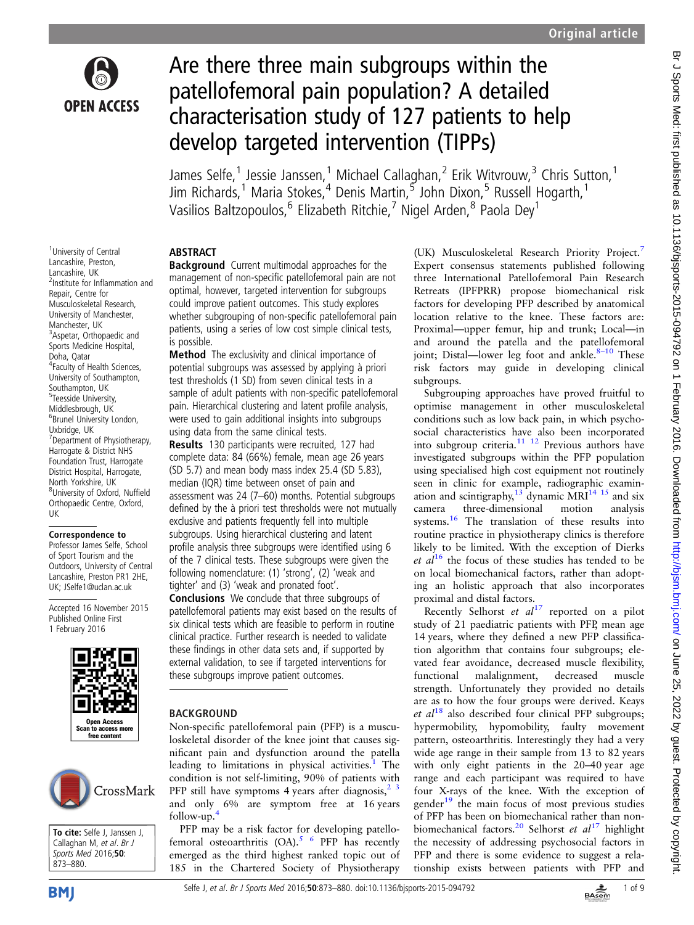

<sup>1</sup>University of Central Lancashire, Preston, Lancashire, UK

Repair, Centre for Musculoskeletal Research, University of Manchester, Manchester, UK <sup>3</sup> Aspetar, Orthopaedic and Sports Medicine Hospital,

Doha, Qatar

Uxbridge, UK

2 Institute for Inflammation and

4 Faculty of Health Sciences, University of Southampton, Southampton, UK 5 Teesside University, Middlesbrough, UK 6 Brunel University London,

7 Department of Physiotherapy, Harrogate & District NHS Foundation Trust, Harrogate District Hospital, Harrogate, North Yorkshire, UK 8 University of Oxford, Nuffield Orthopaedic Centre, Oxford,

# Are there three main subgroups within the patellofemoral pain population? A detailed characterisation study of 127 patients to help develop targeted intervention (TIPPs)

James Selfe,<sup>1</sup> Jessie Janssen,<sup>1</sup> Michael Callaghan,<sup>2</sup> Erik Witvrouw,<sup>3</sup> Chris Sutton,<sup>1</sup> Jim Richards,<sup>1</sup> Maria Stokes,<sup>4</sup> Denis Martin,<sup>5</sup> John Dixon,<sup>5</sup> Russell Hogarth,<sup>1</sup> Vasilios Baltzopoulos,<sup>6</sup> Elizabeth Ritchie,<sup>7</sup> Nigel Arden,<sup>8</sup> Paola Dev<sup>1</sup>

# ABSTRACT

**Background** Current multimodal approaches for the management of non-specific patellofemoral pain are not optimal, however, targeted intervention for subgroups could improve patient outcomes. This study explores whether subgrouping of non-specific patellofemoral pain patients, using a series of low cost simple clinical tests, is possible.

Method The exclusivity and clinical importance of potential subgroups was assessed by applying à priori test thresholds (1 SD) from seven clinical tests in a sample of adult patients with non-specific patellofemoral pain. Hierarchical clustering and latent profile analysis, were used to gain additional insights into subgroups using data from the same clinical tests.

Results 130 participants were recruited, 127 had complete data: 84 (66%) female, mean age 26 years (SD 5.7) and mean body mass index 25.4 (SD 5.83), median (IQR) time between onset of pain and assessment was 24 (7–60) months. Potential subgroups defined by the à priori test thresholds were not mutually exclusive and patients frequently fell into multiple subgroups. Using hierarchical clustering and latent profile analysis three subgroups were identified using 6 of the 7 clinical tests. These subgroups were given the following nomenclature: (1) 'strong', (2) 'weak and tighter' and (3) 'weak and pronated foot'.

Conclusions We conclude that three subgroups of patellofemoral patients may exist based on the results of six clinical tests which are feasible to perform in routine clinical practice. Further research is needed to validate these findings in other data sets and, if supported by external validation, to see if targeted interventions for these subgroups improve patient outcomes.

## BACKGROUND

Non-specific patellofemoral pain (PFP) is a musculoskeletal disorder of the knee joint that causes significant pain and dysfunction around the patella leading to limitations in physical activities. $<sup>1</sup>$  The</sup> condition is not self-limiting, 90% of patients with PFP still have symptoms 4 years after diagnosis, $2<sup>3</sup>$ and only 6% are symptom free at 16 years follow-up.[4](#page-7-0)

PFP may be a risk factor for developing patellofemoral osteoarthritis  $(OA)$ <sup>[5 6](#page-7-0)</sup> PFP has recently emerged as the third highest ranked topic out of 185 in the Chartered Society of Physiotherapy

(UK) Musculoskeletal Research Priority Project.[7](#page-8-0) Expert consensus statements published following three International Patellofemoral Pain Research Retreats (IPFPRR) propose biomechanical risk factors for developing PFP described by anatomical location relative to the knee. These factors are: Proximal—upper femur, hip and trunk; Local—in and around the patella and the patellofemoral joint; Distal—lower leg foot and ankle. $8-10$  $8-10$  These risk factors may guide in developing clinical subgroups.

Subgrouping approaches have proved fruitful to optimise management in other musculoskeletal conditions such as low back pain, in which psychosocial characteristics have also been incorporated into subgroup criteria.<sup>[11 12](#page-8-0)</sup> Previous authors have investigated subgroups within the PFP population using specialised high cost equipment not routinely seen in clinic for example, radiographic examination and scintigraphy,  $^{13}$  $^{13}$  $^{13}$  dynamic MRI<sup>14 15</sup> and six camera three-dimensional motion analysis systems.[16](#page-8-0) The translation of these results into routine practice in physiotherapy clinics is therefore likely to be limited. With the exception of Dierks et  $aI^{16}$  $aI^{16}$  $aI^{16}$  the focus of these studies has tended to be on local biomechanical factors, rather than adopting an holistic approach that also incorporates proximal and distal factors.

Recently Selhorst et  $al^{17}$  $al^{17}$  $al^{17}$  reported on a pilot study of 21 paediatric patients with PFP, mean age 14 years, where they defined a new PFP classification algorithm that contains four subgroups; elevated fear avoidance, decreased muscle flexibility, functional malalignment, decreased muscle strength. Unfortunately they provided no details are as to how the four groups were derived. Keays et  $al^{18}$  $al^{18}$  $al^{18}$  also described four clinical PFP subgroups; hypermobility, hypomobility, faulty movement pattern, osteoarthritis. Interestingly they had a very wide age range in their sample from 13 to 82 years with only eight patients in the 20–40 year age range and each participant was required to have four X-rays of the knee. With the exception of gender $19$  the main focus of most previous studies of PFP has been on biomechanical rather than non-biomechanical factors.<sup>[20](#page-8-0)</sup> Selhorst et  $al^{17}$  $al^{17}$  $al^{17}$  highlight the necessity of addressing psychosocial factors in PFP and there is some evidence to suggest a relationship exists between patients with PFP and

UK Correspondence to Professor James Selfe, School of Sport Tourism and the Outdoors, University of Central Lancashire, Preston PR1 2HE,

UK; JSelfe1@uclan.ac.uk

Accepted 16 November 2015 Published Online First 1 February 2016





To cite: Selfe J, Janssen J, Callaghan M, et al. Br J Sports Med 2016;50: 873–880.

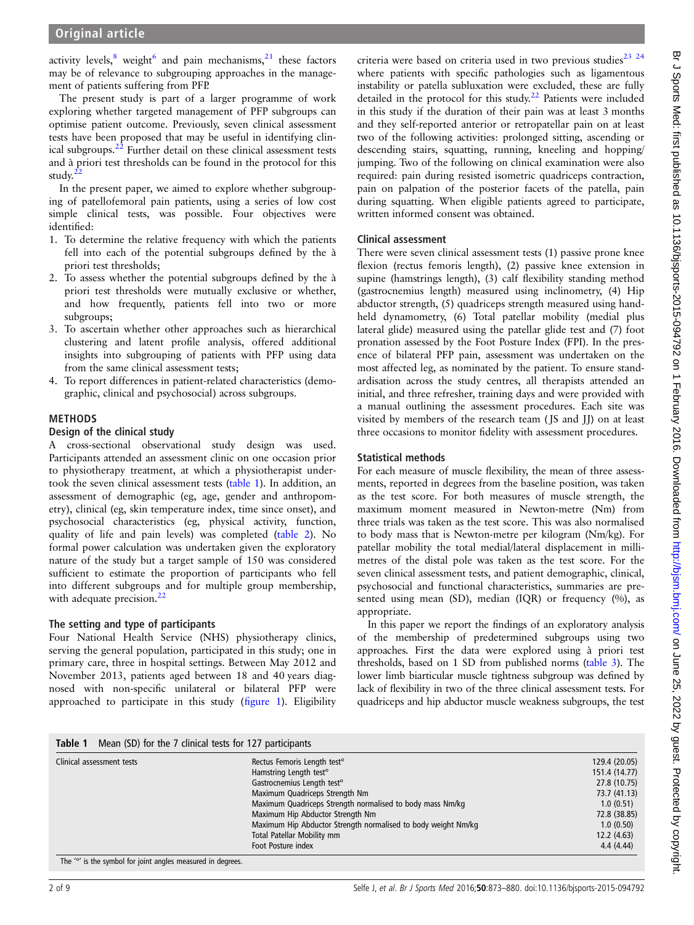<span id="page-1-0"></span>activity levels, $8$  weight<sup>[6](#page-7-0)</sup> and pain mechanisms, $21$  these factors may be of relevance to subgrouping approaches in the management of patients suffering from PFP.

The present study is part of a larger programme of work exploring whether targeted management of PFP subgroups can optimise patient outcome. Previously, seven clinical assessment tests have been proposed that may be useful in identifying clinical subgroups.[22](#page-8-0) Further detail on these clinical assessment tests and à priori test thresholds can be found in the protocol for this study.<sup>[22](#page-8-0)</sup>

In the present paper, we aimed to explore whether subgrouping of patellofemoral pain patients, using a series of low cost simple clinical tests, was possible. Four objectives were identified:

- 1. To determine the relative frequency with which the patients fell into each of the potential subgroups defined by the à priori test thresholds;
- 2. To assess whether the potential subgroups defined by the à priori test thresholds were mutually exclusive or whether, and how frequently, patients fell into two or more subgroups;
- 3. To ascertain whether other approaches such as hierarchical clustering and latent profile analysis, offered additional insights into subgrouping of patients with PFP using data from the same clinical assessment tests;
- 4. To report differences in patient-related characteristics (demographic, clinical and psychosocial) across subgroups.

## METHODS

## Design of the clinical study

A cross-sectional observational study design was used. Participants attended an assessment clinic on one occasion prior to physiotherapy treatment, at which a physiotherapist undertook the seven clinical assessment tests (table 1). In addition, an assessment of demographic (eg, age, gender and anthropometry), clinical (eg, skin temperature index, time since onset), and psychosocial characteristics (eg, physical activity, function, quality of life and pain levels) was completed ([table 2](#page-2-0)). No formal power calculation was undertaken given the exploratory nature of the study but a target sample of 150 was considered sufficient to estimate the proportion of participants who fell into different subgroups and for multiple group membership, with adequate precision.<sup>2</sup>

## The setting and type of participants

Four National Health Service (NHS) physiotherapy clinics, serving the general population, participated in this study; one in primary care, three in hospital settings. Between May 2012 and November 2013, patients aged between 18 and 40 years diagnosed with non-specific unilateral or bilateral PFP were approached to participate in this study (fi[gure 1\)](#page-2-0). Eligibility

criteria were based on criteria used in two previous studies<sup>23</sup> <sup>24</sup> where patients with specific pathologies such as ligamentous instability or patella subluxation were excluded, these are fully detailed in the protocol for this study.<sup>[22](#page-8-0)</sup> Patients were included in this study if the duration of their pain was at least 3 months and they self-reported anterior or retropatellar pain on at least two of the following activities: prolonged sitting, ascending or descending stairs, squatting, running, kneeling and hopping/ jumping. Two of the following on clinical examination were also required: pain during resisted isometric quadriceps contraction, pain on palpation of the posterior facets of the patella, pain during squatting. When eligible patients agreed to participate, written informed consent was obtained.

## Clinical assessment

There were seven clinical assessment tests (1) passive prone knee flexion (rectus femoris length), (2) passive knee extension in supine (hamstrings length), (3) calf flexibility standing method (gastrocnemius length) measured using inclinometry, (4) Hip abductor strength, (5) quadriceps strength measured using handheld dynamometry, (6) Total patellar mobility (medial plus lateral glide) measured using the patellar glide test and (7) foot pronation assessed by the Foot Posture Index (FPI). In the presence of bilateral PFP pain, assessment was undertaken on the most affected leg, as nominated by the patient. To ensure standardisation across the study centres, all therapists attended an initial, and three refresher, training days and were provided with a manual outlining the assessment procedures. Each site was visited by members of the research team ( JS and JJ) on at least three occasions to monitor fidelity with assessment procedures.

## Statistical methods

For each measure of muscle flexibility, the mean of three assessments, reported in degrees from the baseline position, was taken as the test score. For both measures of muscle strength, the maximum moment measured in Newton-metre (Nm) from three trials was taken as the test score. This was also normalised to body mass that is Newton-metre per kilogram (Nm/kg). For patellar mobility the total medial/lateral displacement in millimetres of the distal pole was taken as the test score. For the seven clinical assessment tests, and patient demographic, clinical, psychosocial and functional characteristics, summaries are presented using mean (SD), median (IQR) or frequency  $(%)$ , as appropriate.

In this paper we report the findings of an exploratory analysis of the membership of predetermined subgroups using two approaches. First the data were explored using à priori test thresholds, based on 1 SD from published norms [\(table 3\)](#page-3-0). The lower limb biarticular muscle tightness subgroup was defined by lack of flexibility in two of the three clinical assessment tests. For quadriceps and hip abductor muscle weakness subgroups, the test

| Clinical assessment tests | Rectus Femoris Length test°                                   | 129.4 (20.05) |
|---------------------------|---------------------------------------------------------------|---------------|
|                           | Hamstring Length test°                                        | 151.4 (14.77) |
|                           | Gastrocnemius Length test°                                    | 27.8 (10.75)  |
|                           | Maximum Quadriceps Strength Nm                                | 73.7 (41.13)  |
|                           | Maximum Quadriceps Strength normalised to body mass Nm/kg     | 1.0(0.51)     |
|                           | Maximum Hip Abductor Strength Nm                              | 72.8 (38.85)  |
|                           | Maximum Hip Abductor Strength normalised to body weight Nm/kg | 1.0(0.50)     |
|                           | Total Patellar Mobility mm                                    | 12.2(4.63)    |
|                           | Foot Posture index                                            | 4.4(4.44)     |

The '°' is the symbol for joint angles measured in degrees.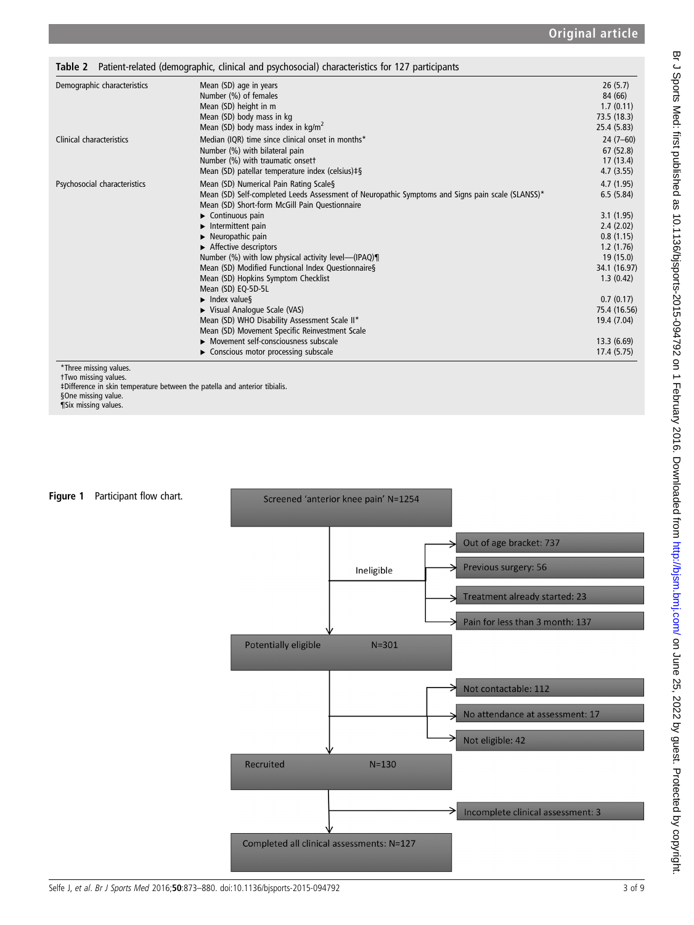<span id="page-2-0"></span>

| Demographic characteristics     | Mean (SD) age in years                                                                           | 26(5.7)      |
|---------------------------------|--------------------------------------------------------------------------------------------------|--------------|
|                                 | Number (%) of females                                                                            | 84 (66)      |
|                                 | Mean (SD) height in m                                                                            | 1.7(0.11)    |
|                                 | Mean (SD) body mass in kg                                                                        | 73.5 (18.3)  |
|                                 | Mean (SD) body mass index in $\text{kg/m}^2$                                                     | 25.4 (5.83)  |
| <b>Clinical characteristics</b> | Median (IQR) time since clinical onset in months*                                                | $24(7-60)$   |
|                                 | Number (%) with bilateral pain                                                                   | 67 (52.8)    |
|                                 | Number (%) with traumatic onsett                                                                 |              |
|                                 | Mean (SD) patellar temperature index (celsius)#§                                                 | 4.7(3.55)    |
| Psychosocial characteristics    | Mean (SD) Numerical Pain Rating Scale§                                                           | 4.7(1.95)    |
|                                 | Mean (SD) Self-completed Leeds Assessment of Neuropathic Symptoms and Signs pain scale (SLANSS)* | 6.5(5.84)    |
|                                 | Mean (SD) Short-form McGill Pain Questionnaire                                                   |              |
|                                 | $\blacktriangleright$ Continuous pain                                                            |              |
|                                 | $\blacktriangleright$ Intermittent pain                                                          | 2.4(2.02)    |
|                                 | $\blacktriangleright$ Neuropathic pain                                                           | 0.8(1.15)    |
|                                 | ▶ Affective descriptors                                                                          | 1.2(1.76)    |
|                                 | Number $\frac{9}{6}$ with low physical activity level—(IPAQ)                                     | 19(15.0)     |
|                                 | Mean (SD) Modified Functional Index Questionnaire§                                               | 34.1 (16.97) |
|                                 | Mean (SD) Hopkins Symptom Checklist                                                              | 1.3(0.42)    |
|                                 | Mean (SD) EQ-5D-5L                                                                               |              |
|                                 | $\blacktriangleright$ Index values                                                               | 0.7(0.17)    |
|                                 | ▶ Visual Analogue Scale (VAS)                                                                    | 75.4 (16.56) |
|                                 | Mean (SD) WHO Disability Assessment Scale II*                                                    | 19.4 (7.04)  |
|                                 | Mean (SD) Movement Specific Reinvestment Scale                                                   |              |
|                                 | Movement self-consciousness subscale                                                             | 13.3(6.69)   |
|                                 | $\triangleright$ Conscious motor processing subscale                                             | 17.4(5.75)   |

\*Three missing values. †Two missing values. ‡Difference in skin temperature between the patella and anterior tibialis.

§One missing value. ¶Six missing values.

#### Figure 1 Participant flow chart.

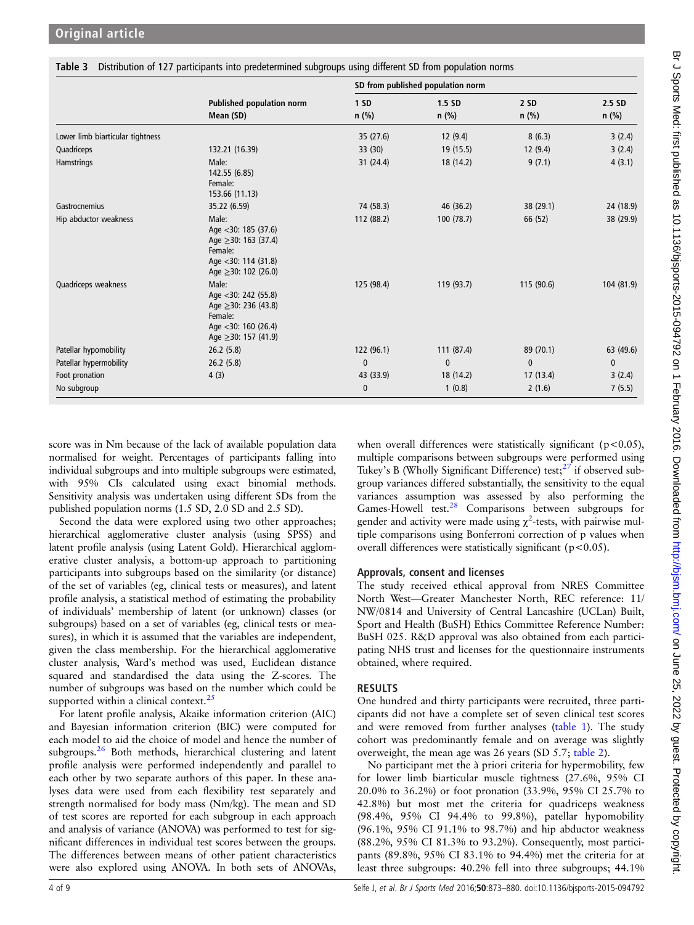|                                  | <b>Published population norm</b><br>Mean (SD)                                                                             | SD from published population norm |                   |                 |                   |
|----------------------------------|---------------------------------------------------------------------------------------------------------------------------|-----------------------------------|-------------------|-----------------|-------------------|
|                                  |                                                                                                                           | 1SD<br>$n$ (%)                    | 1.5 SD<br>$n$ (%) | 2 SD<br>$n$ (%) | 2.5 SD<br>$n$ (%) |
| Lower limb biarticular tightness |                                                                                                                           | 35 (27.6)                         | 12(9.4)           | 8(6.3)          | 3(2.4)            |
| Quadriceps                       | 132.21 (16.39)                                                                                                            | 33 (30)                           | 19 (15.5)         | 12(9.4)         | 3(2.4)            |
| Hamstrings                       | Male:<br>142.55 (6.85)<br>Female:<br>153.66 (11.13)                                                                       | 31(24.4)                          | 18 (14.2)         | 9(7.1)          | 4(3.1)            |
| Gastrocnemius                    | 35.22 (6.59)                                                                                                              | 74 (58.3)                         | 46 (36.2)         | 38 (29.1)       | 24 (18.9)         |
| Hip abductor weakness            | Male:<br>Age < 30: 185 (37.6)<br>Age $\geq$ 30: 163 (37.4)<br>Female:<br>Age <30: 114 (31.8)<br>Age $\geq$ 30: 102 (26.0) | 112 (88.2)                        | 100(78.7)         | 66 (52)         | 38 (29.9)         |
| Quadriceps weakness              | Male:<br>Age <30: 242 (55.8)<br>Age $\geq$ 30: 236 (43.8)<br>Female:<br>Age < 30: 160 (26.4)<br>Age $\geq$ 30: 157 (41.9) | 125 (98.4)                        | 119(93.7)         | 115 (90.6)      | 104 (81.9)        |
| Patellar hypomobility            | 26.2(5.8)                                                                                                                 | 122 (96.1)                        | 111 (87.4)        | 89 (70.1)       | 63 (49.6)         |
| Patellar hypermobility           | 26.2(5.8)                                                                                                                 | $\mathbf{0}$                      | $\mathbf{0}$      | $\mathbf{0}$    | $\mathbf{0}$      |
| Foot pronation                   | 4(3)                                                                                                                      | 43 (33.9)                         | 18 (14.2)         | 17(13.4)        | 3(2.4)            |
| No subgroup                      |                                                                                                                           | $\mathbf{0}$                      | 1(0.8)            | 2(1.6)          | 7(5.5)            |

<span id="page-3-0"></span>Table 3 Distribution of 127 participants into predetermined subgroups using different SD from population norms

score was in Nm because of the lack of available population data normalised for weight. Percentages of participants falling into individual subgroups and into multiple subgroups were estimated, with 95% CIs calculated using exact binomial methods. Sensitivity analysis was undertaken using different SDs from the published population norms (1.5 SD, 2.0 SD and 2.5 SD).

Second the data were explored using two other approaches; hierarchical agglomerative cluster analysis (using SPSS) and latent profile analysis (using Latent Gold). Hierarchical agglomerative cluster analysis, a bottom-up approach to partitioning participants into subgroups based on the similarity (or distance) of the set of variables (eg, clinical tests or measures), and latent profile analysis, a statistical method of estimating the probability of individuals' membership of latent (or unknown) classes (or subgroups) based on a set of variables (eg, clinical tests or measures), in which it is assumed that the variables are independent, given the class membership. For the hierarchical agglomerative cluster analysis, Ward's method was used, Euclidean distance squared and standardised the data using the Z-scores. The number of subgroups was based on the number which could be supported within a clinical context. $25$ 

For latent profile analysis, Akaike information criterion (AIC) and Bayesian information criterion (BIC) were computed for each model to aid the choice of model and hence the number of subgroups.<sup>26</sup> Both methods, hierarchical clustering and latent profile analysis were performed independently and parallel to each other by two separate authors of this paper. In these analyses data were used from each flexibility test separately and strength normalised for body mass (Nm/kg). The mean and SD of test scores are reported for each subgroup in each approach and analysis of variance (ANOVA) was performed to test for significant differences in individual test scores between the groups. The differences between means of other patient characteristics were also explored using ANOVA. In both sets of ANOVAs,

when overall differences were statistically significant ( $p < 0.05$ ), multiple comparisons between subgroups were performed using Tukey's B (Wholly Significant Difference) test; $^{27}$  $^{27}$  $^{27}$  if observed subgroup variances differed substantially, the sensitivity to the equal variances assumption was assessed by also performing the Games-Howell test.<sup>[28](#page-8-0)</sup> Comparisons between subgroups for gender and activity were made using  $\chi^2$ -tests, with pairwise multiple comparisons using Bonferroni correction of p values when overall differences were statistically significant (p<0.05).

## Approvals, consent and licenses

The study received ethical approval from NRES Committee North West—Greater Manchester North, REC reference: 11/ NW/0814 and University of Central Lancashire (UCLan) Built, Sport and Health (BuSH) Ethics Committee Reference Number: BuSH 025. R&D approval was also obtained from each participating NHS trust and licenses for the questionnaire instruments obtained, where required.

# RESULTS

One hundred and thirty participants were recruited, three participants did not have a complete set of seven clinical test scores and were removed from further analyses [\(table 1\)](#page-1-0). The study cohort was predominantly female and on average was slightly overweight, the mean age was 26 years (SD 5.7; [table 2\)](#page-2-0).

No participant met the à priori criteria for hypermobility, few for lower limb biarticular muscle tightness (27.6%, 95% CI 20.0% to 36.2%) or foot pronation (33.9%, 95% CI 25.7% to 42.8%) but most met the criteria for quadriceps weakness (98.4%, 95% CI 94.4% to 99.8%), patellar hypomobility (96.1%, 95% CI 91.1% to 98.7%) and hip abductor weakness (88.2%, 95% CI 81.3% to 93.2%). Consequently, most participants (89.8%, 95% CI 83.1% to 94.4%) met the criteria for at least three subgroups: 40.2% fell into three subgroups; 44.1%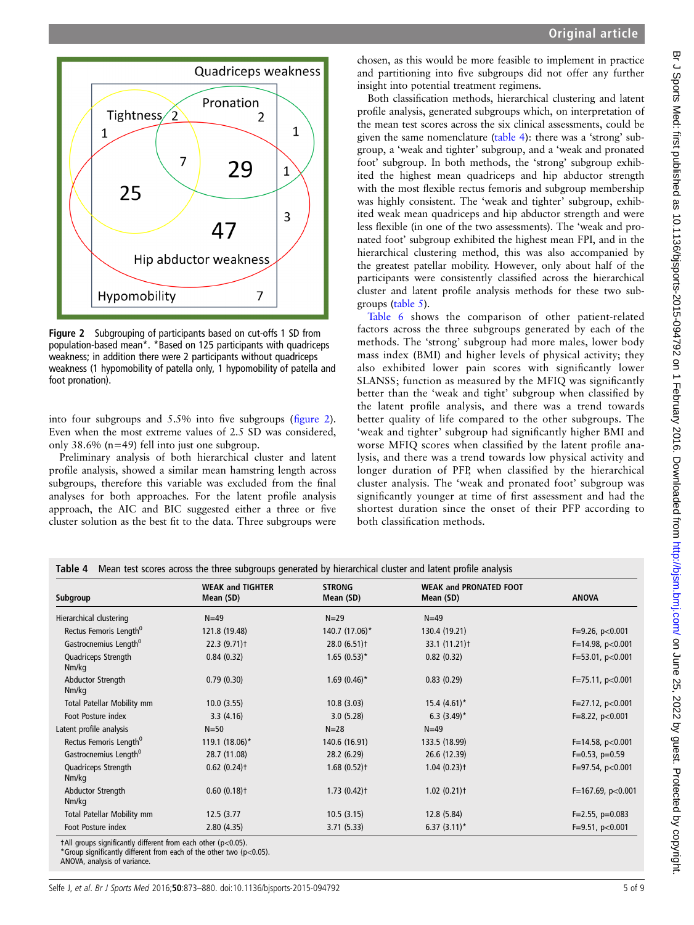<span id="page-4-0"></span>

Figure 2 Subgrouping of participants based on cut-offs 1 SD from population-based mean\*. \*Based on 125 participants with quadriceps weakness; in addition there were 2 participants without quadriceps weakness (1 hypomobility of patella only, 1 hypomobility of patella and foot pronation).

into four subgroups and 5.5% into five subgroups (figure 2). Even when the most extreme values of 2.5 SD was considered, only 38.6% (n=49) fell into just one subgroup.

Preliminary analysis of both hierarchical cluster and latent profile analysis, showed a similar mean hamstring length across subgroups, therefore this variable was excluded from the final analyses for both approaches. For the latent profile analysis approach, the AIC and BIC suggested either a three or five cluster solution as the best fit to the data. Three subgroups were

chosen, as this would be more feasible to implement in practice and partitioning into five subgroups did not offer any further insight into potential treatment regimens.

Both classification methods, hierarchical clustering and latent profile analysis, generated subgroups which, on interpretation of the mean test scores across the six clinical assessments, could be given the same nomenclature (table 4): there was a 'strong' subgroup, a 'weak and tighter' subgroup, and a 'weak and pronated foot' subgroup. In both methods, the 'strong' subgroup exhibited the highest mean quadriceps and hip abductor strength with the most flexible rectus femoris and subgroup membership was highly consistent. The 'weak and tighter' subgroup, exhibited weak mean quadriceps and hip abductor strength and were less flexible (in one of the two assessments). The 'weak and pronated foot' subgroup exhibited the highest mean FPI, and in the hierarchical clustering method, this was also accompanied by the greatest patellar mobility. However, only about half of the participants were consistently classified across the hierarchical cluster and latent profile analysis methods for these two subgroups [\(table 5\)](#page-5-0).

[Table 6](#page-5-0) shows the comparison of other patient-related factors across the three subgroups generated by each of the methods. The 'strong' subgroup had more males, lower body mass index (BMI) and higher levels of physical activity; they also exhibited lower pain scores with significantly lower SLANSS; function as measured by the MFIQ was significantly better than the 'weak and tight' subgroup when classified by the latent profile analysis, and there was a trend towards better quality of life compared to the other subgroups. The 'weak and tighter' subgroup had significantly higher BMI and worse MFIQ scores when classified by the latent profile analysis, and there was a trend towards low physical activity and longer duration of PFP, when classified by the hierarchical cluster analysis. The 'weak and pronated foot' subgroup was significantly younger at time of first assessment and had the shortest duration since the onset of their PFP according to both classification methods.

|                                    | <b>WEAK and TIGHTER</b>   | <b>STRONG</b>    | <b>WEAK and PRONATED FOOT</b> |                       |
|------------------------------------|---------------------------|------------------|-------------------------------|-----------------------|
| Subgroup                           | Mean (SD)                 | Mean (SD)        | Mean (SD)                     | <b>ANOVA</b>          |
| Hierarchical clustering            | $N=49$                    | $N=29$           | $N=49$                        |                       |
| Rectus Femoris Length <sup>0</sup> | 121.8 (19.48)             | 140.7 (17.06)*   | 130.4 (19.21)                 | $F=9.26$ , p<0.001    |
| Gastrocnemius Length <sup>0</sup>  | $22.3(9.71)$ t            | 28.0(6.51)       | 33.1 (11.21)t                 | $F=14.98$ , p<0.001   |
| Quadriceps Strength<br>Nm/kg       | 0.84(0.32)                | $1.65(0.53)^{*}$ | 0.82(0.32)                    | $F = 53.01$ , p<0.001 |
| Abductor Strength<br>Nm/kg         | 0.79(0.30)                | $1.69(0.46)$ *   | 0.83(0.29)                    | $F = 75.11$ , p<0.001 |
| Total Patellar Mobility mm         | 10.0(3.55)                | 10.8(3.03)       | $15.4(4.61)$ *                | $F = 27.12$ , p<0.001 |
| Foot Posture index                 | 3.3(4.16)                 | 3.0(5.28)        | 6.3 $(3.49)^*$                | $F=8.22$ , $p<0.001$  |
| Latent profile analysis            | $N = 50$                  | $N=28$           | $N=49$                        |                       |
| Rectus Femoris Length <sup>0</sup> | 119.1 (18.06)*            | 140.6 (16.91)    | 133.5 (18.99)                 | $F=14.58$ , p<0.001   |
| Gastrocnemius Length <sup>0</sup>  | 28.7 (11.08)              | 28.2 (6.29)      | 26.6 (12.39)                  | $F=0.53$ , $p=0.59$   |
| Quadriceps Strength<br>Nm/kg       | $0.62(0.24)$ t            | $1.68(0.52)$ t   | $1.04(0.23)$ t                | $F = 97.54$ , p<0.001 |
| Abductor Strength<br>Nm/kg         | $0.60(0.18)$ <sup>+</sup> | $1.73(0.42)$ t   | $1.02(0.21)$ t                | $F=167.69$ , p<0.001  |
| Total Patellar Mobility mm         | 12.5 (3.77                | 10.5(3.15)       | 12.8(5.84)                    | $F=2.55$ , $p=0.083$  |
| Foot Posture index                 | 2.80(4.35)                | 3.71(5.33)       | $6.37(3.11)^*$                | $F=9.51$ , p<0.001    |

†All groups significantly different from each other (p<0.05).

\*Group significantly different from each of the other two (p<0.05).

ANOVA, analysis of variance.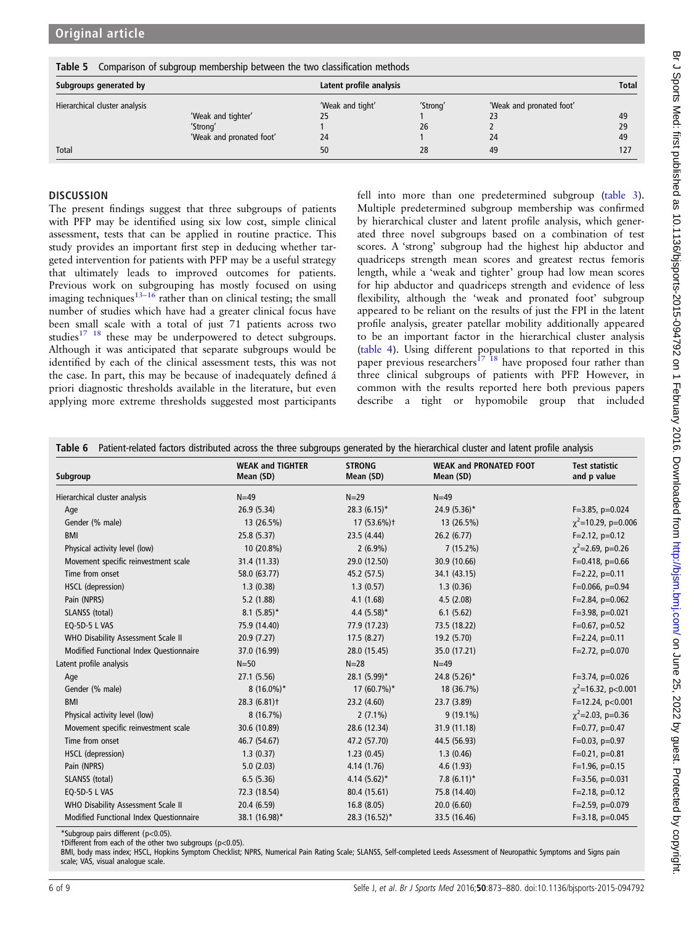<span id="page-5-0"></span>Table 5 Comparison of subgroup membership between the two classification methods

| Subgroups generated by        |                                                            |                              | Latent profile analysis |                                      |                |
|-------------------------------|------------------------------------------------------------|------------------------------|-------------------------|--------------------------------------|----------------|
| Hierarchical cluster analysis | 'Weak and tighter'<br>'Strong'<br>'Weak and pronated foot' | 'Weak and tight'<br>25<br>24 | 'Strong'<br>26          | 'Weak and pronated foot'<br>23<br>24 | 49<br>29<br>49 |
| <b>Total</b>                  |                                                            | 50                           | 28                      | 49                                   | 127            |

#### **DISCUSSION**

The present findings suggest that three subgroups of patients with PFP may be identified using six low cost, simple clinical assessment, tests that can be applied in routine practice. This study provides an important first step in deducing whether targeted intervention for patients with PFP may be a useful strategy that ultimately leads to improved outcomes for patients. Previous work on subgrouping has mostly focused on using imaging techniques<sup>13–[16](#page-8-0)</sup> rather than on clinical testing; the small number of studies which have had a greater clinical focus have been small scale with a total of just 71 patients across two studies<sup>17</sup> <sup>18</sup> these may be underpowered to detect subgroups. Although it was anticipated that separate subgroups would be identified by each of the clinical assessment tests, this was not the case. In part, this may be because of inadequately defined á priori diagnostic thresholds available in the literature, but even applying more extreme thresholds suggested most participants

fell into more than one predetermined subgroup ([table 3\)](#page-3-0). Multiple predetermined subgroup membership was confirmed by hierarchical cluster and latent profile analysis, which generated three novel subgroups based on a combination of test scores. A 'strong' subgroup had the highest hip abductor and quadriceps strength mean scores and greatest rectus femoris length, while a 'weak and tighter' group had low mean scores for hip abductor and quadriceps strength and evidence of less flexibility, although the 'weak and pronated foot' subgroup appeared to be reliant on the results of just the FPI in the latent profile analysis, greater patellar mobility additionally appeared to be an important factor in the hierarchical cluster analysis ([table 4](#page-4-0)). Using different populations to that reported in this paper previous researchers<sup>17</sup> <sup>18</sup> have proposed four rather than three clinical subgroups of patients with PFP. However, in common with the results reported here both previous papers describe a tight or hypomobile group that included

| Subgroup                                | <b>WEAK and TIGHTER</b><br>Mean (SD) | <b>STRONG</b><br>Mean (SD) | <b>WEAK and PRONATED FOOT</b><br>Mean (SD) | <b>Test statistic</b><br>and p value |
|-----------------------------------------|--------------------------------------|----------------------------|--------------------------------------------|--------------------------------------|
| Hierarchical cluster analysis           | $N=49$                               | $N=29$                     | $N=49$                                     |                                      |
| Age                                     | 26.9(5.34)                           | $28.3(6.15)^*$             | $24.9(5.36)$ *                             | $F=3.85$ , $p=0.024$                 |
| Gender (% male)                         | 13 (26.5%)                           | 17 (53.6%)t                | 13 (26.5%)                                 | $\chi^2$ =10.29, p=0.006             |
| <b>BMI</b>                              | 25.8(5.37)                           | 23.5 (4.44)                | 26.2(6.77)                                 | $F=2.12$ , $p=0.12$                  |
| Physical activity level (low)           | 10 (20.8%)                           | $2(6.9\%)$                 | $7(15.2\%)$                                | $\chi^2$ =2.69, p=0.26               |
| Movement specific reinvestment scale    | 31.4 (11.33)                         | 29.0 (12.50)               | 30.9 (10.66)                               | $F=0.418$ , p=0.66                   |
| Time from onset                         | 58.0 (63.77)                         | 45.2 (57.5)                | 34.1 (43.15)                               | $F=2.22$ , $p=0.11$                  |
| HSCL (depression)                       | 1.3(0.38)                            | 1.3(0.57)                  | 1.3(0.36)                                  | $F=0.066$ , $p=0.94$                 |
| Pain (NPRS)                             | 5.2(1.88)                            | 4.1(1.68)                  | 4.5(2.08)                                  | $F=2.84$ , $p=0.062$                 |
| SLANSS (total)                          | $8.1(5.85)^*$                        | 4.4 $(5.58)^*$             | 6.1(5.62)                                  | $F=3.98$ , $p=0.021$                 |
| EQ-5D-5 L VAS                           | 75.9 (14.40)                         | 77.9 (17.23)               | 73.5 (18.22)                               | $F=0.67$ , p=0.52                    |
| WHO Disability Assessment Scale II      | 20.9(7.27)                           | 17.5(8.27)                 | 19.2 (5.70)                                | $F=2.24$ , $p=0.11$                  |
| Modified Functional Index Questionnaire | 37.0 (16.99)                         | 28.0 (15.45)               | 35.0 (17.21)                               | $F=2.72$ , $p=0.070$                 |
| Latent profile analysis                 | $N = 50$                             | $N=28$                     | $N=49$                                     |                                      |
| Age                                     | 27.1(5.56)                           | 28.1 (5.99)*               | 24.8 (5.26)*                               | $F=3.74$ , $p=0.026$                 |
| Gender (% male)                         | $8(16.0\%)*$                         | 17 $(60.7\%)^*$            | 18 (36.7%)                                 | $\chi^2$ =16.32, p<0.001             |
| BMI                                     | 28.3(6.81)                           | 23.2 (4.60)                | 23.7 (3.89)                                | $F=12.24$ , p<0.001                  |
| Physical activity level (low)           | 8(16.7%)                             | $2(7.1\%)$                 | $9(19.1\%)$                                | $\chi^2$ =2.03, p=0.36               |
| Movement specific reinvestment scale    | 30.6 (10.89)                         | 28.6 (12.34)               | 31.9 (11.18)                               | $F=0.77$ , p=0.47                    |
| Time from onset                         | 46.7 (54.67)                         | 47.2 (57.70)               | 44.5 (56.93)                               | $F=0.03$ , $p=0.97$                  |
| HSCL (depression)                       | 1.3(0.37)                            | 1.23(0.45)                 | 1.3(0.46)                                  | $F=0.21$ , $p=0.81$                  |
| Pain (NPRS)                             | 5.0(2.03)                            | 4.14(1.76)                 | 4.6(1.93)                                  | $F=1.96$ , $p=0.15$                  |
| SLANSS (total)                          | 6.5(5.36)                            | 4.14 $(5.62)^*$            | 7.8 $(6.11)^*$                             | $F=3.56$ , $p=0.031$                 |
| EQ-5D-5 L VAS                           | 72.3 (18.54)                         | 80.4 (15.61)               | 75.8 (14.40)                               | $F=2.18$ , $p=0.12$                  |
| WHO Disability Assessment Scale II      | 20.4 (6.59)                          | 16.8(8.05)                 | 20.0(6.60)                                 | $F=2.59$ , $p=0.079$                 |
| Modified Functional Index Questionnaire | 38.1 (16.98)*                        | $28.3(16.52)^*$            | 33.5 (16.46)                               | $F=3.18$ , $p=0.045$                 |

\*Subgroup pairs different (p<0.05).

†Different from each of the other two subgroups (p<0.05).

BMI, body mass index; HSCL, Hopkins Symptom Checklist; NPRS, Numerical Pain Rating Scale; SLANSS, Self-completed Leeds Assessment of Neuropathic Symptoms and Signs pain scale; VAS, visual analogue scale.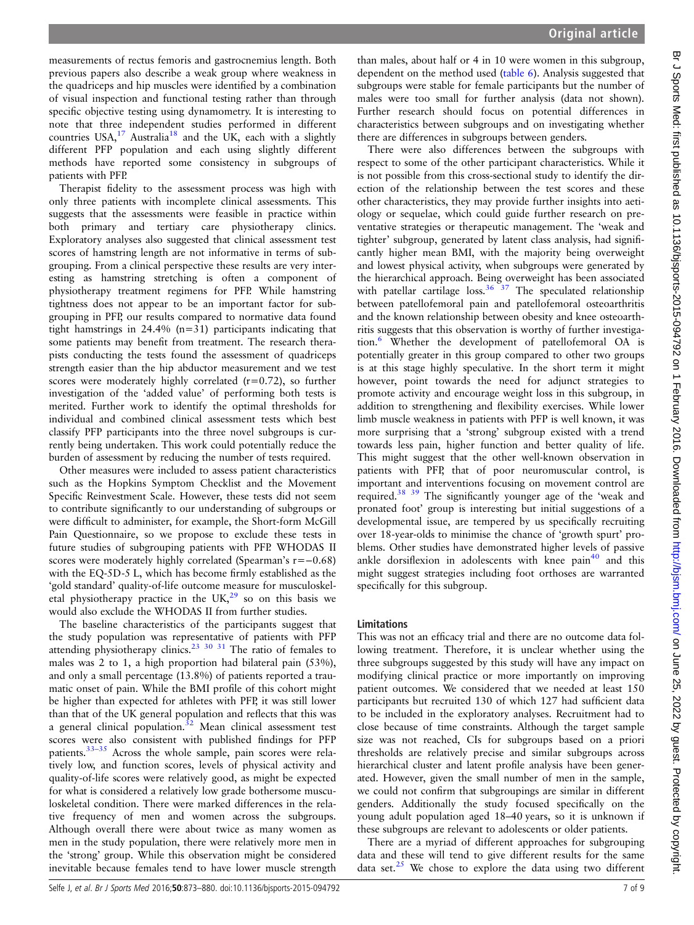measurements of rectus femoris and gastrocnemius length. Both previous papers also describe a weak group where weakness in the quadriceps and hip muscles were identified by a combination of visual inspection and functional testing rather than through specific objective testing using dynamometry. It is interesting to note that three independent studies performed in different countries USA, $^{17}$  Australia<sup>18</sup> and the UK, each with a slightly different PFP population and each using slightly different methods have reported some consistency in subgroups of patients with PFP.

Therapist fidelity to the assessment process was high with only three patients with incomplete clinical assessments. This suggests that the assessments were feasible in practice within both primary and tertiary care physiotherapy clinics. Exploratory analyses also suggested that clinical assessment test scores of hamstring length are not informative in terms of subgrouping. From a clinical perspective these results are very interesting as hamstring stretching is often a component of physiotherapy treatment regimens for PFP. While hamstring tightness does not appear to be an important factor for subgrouping in PFP, our results compared to normative data found tight hamstrings in 24.4% (n=31) participants indicating that some patients may benefit from treatment. The research therapists conducting the tests found the assessment of quadriceps strength easier than the hip abductor measurement and we test scores were moderately highly correlated  $(r=0.72)$ , so further investigation of the 'added value' of performing both tests is merited. Further work to identify the optimal thresholds for individual and combined clinical assessment tests which best classify PFP participants into the three novel subgroups is currently being undertaken. This work could potentially reduce the burden of assessment by reducing the number of tests required.

Other measures were included to assess patient characteristics such as the Hopkins Symptom Checklist and the Movement Specific Reinvestment Scale. However, these tests did not seem to contribute significantly to our understanding of subgroups or were difficult to administer, for example, the Short-form McGill Pain Questionnaire, so we propose to exclude these tests in future studies of subgrouping patients with PFP. WHODAS II scores were moderately highly correlated (Spearman's r=−0.68) with the EQ-5D-5 L, which has become firmly established as the 'gold standard' quality-of-life outcome measure for musculoskeletal physiotherapy practice in the UK, $^{29}$  $^{29}$  $^{29}$  so on this basis we would also exclude the WHODAS II from further studies.

The baseline characteristics of the participants suggest that the study population was representative of patients with PFP attending physiotherapy clinics.<sup>23</sup>  $30\frac{31}{1}$  The ratio of females to males was 2 to 1, a high proportion had bilateral pain (53%), and only a small percentage (13.8%) of patients reported a traumatic onset of pain. While the BMI profile of this cohort might be higher than expected for athletes with PFP, it was still lower than that of the UK general population and reflects that this was a general clinical population. $32$  Mean clinical assessment test scores were also consistent with published findings for PFP patients.[33](#page-8-0)–<sup>35</sup> Across the whole sample, pain scores were relatively low, and function scores, levels of physical activity and quality-of-life scores were relatively good, as might be expected for what is considered a relatively low grade bothersome musculoskeletal condition. There were marked differences in the relative frequency of men and women across the subgroups. Although overall there were about twice as many women as men in the study population, there were relatively more men in the 'strong' group. While this observation might be considered inevitable because females tend to have lower muscle strength

than males, about half or 4 in 10 were women in this subgroup, dependent on the method used [\(table 6](#page-5-0)). Analysis suggested that subgroups were stable for female participants but the number of males were too small for further analysis (data not shown). Further research should focus on potential differences in characteristics between subgroups and on investigating whether there are differences in subgroups between genders.

There were also differences between the subgroups with respect to some of the other participant characteristics. While it is not possible from this cross-sectional study to identify the direction of the relationship between the test scores and these other characteristics, they may provide further insights into aetiology or sequelae, which could guide further research on preventative strategies or therapeutic management. The 'weak and tighter' subgroup, generated by latent class analysis, had significantly higher mean BMI, with the majority being overweight and lowest physical activity, when subgroups were generated by the hierarchical approach. Being overweight has been associated with patellar cartilage loss. $36\overline{37}$  The speculated relationship between patellofemoral pain and patellofemoral osteoarthritis and the known relationship between obesity and knee osteoarthritis suggests that this observation is worthy of further investigation[.6](#page-7-0) Whether the development of patellofemoral OA is potentially greater in this group compared to other two groups is at this stage highly speculative. In the short term it might however, point towards the need for adjunct strategies to promote activity and encourage weight loss in this subgroup, in addition to strengthening and flexibility exercises. While lower limb muscle weakness in patients with PFP is well known, it was more surprising that a 'strong' subgroup existed with a trend towards less pain, higher function and better quality of life. This might suggest that the other well-known observation in patients with PFP, that of poor neuromuscular control, is important and interventions focusing on movement control are required[.38 39](#page-8-0) The significantly younger age of the 'weak and pronated foot' group is interesting but initial suggestions of a developmental issue, are tempered by us specifically recruiting over 18-year-olds to minimise the chance of 'growth spurt' problems. Other studies have demonstrated higher levels of passive ankle dorsiflexion in adolescents with knee pain<sup>[40](#page-8-0)</sup> and this might suggest strategies including foot orthoses are warranted specifically for this subgroup.

## Limitations

This was not an efficacy trial and there are no outcome data following treatment. Therefore, it is unclear whether using the three subgroups suggested by this study will have any impact on modifying clinical practice or more importantly on improving patient outcomes. We considered that we needed at least 150 participants but recruited 130 of which 127 had sufficient data to be included in the exploratory analyses. Recruitment had to close because of time constraints. Although the target sample size was not reached, CIs for subgroups based on a priori thresholds are relatively precise and similar subgroups across hierarchical cluster and latent profile analysis have been generated. However, given the small number of men in the sample, we could not confirm that subgroupings are similar in different genders. Additionally the study focused specifically on the young adult population aged 18–40 years, so it is unknown if these subgroups are relevant to adolescents or older patients.

There are a myriad of different approaches for subgrouping data and these will tend to give different results for the same data set. $25$  We chose to explore the data using two different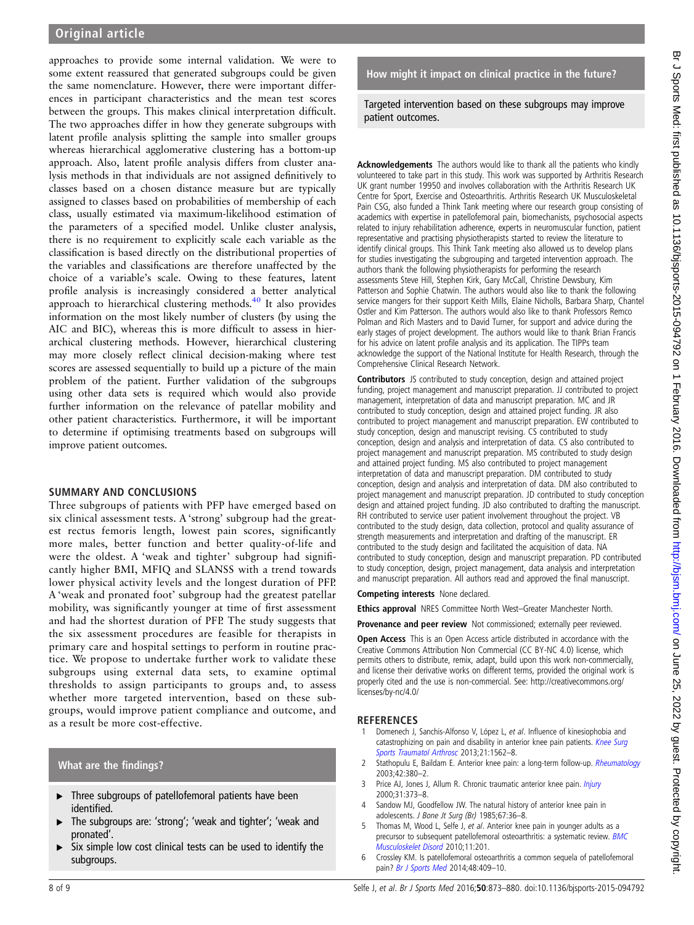# <span id="page-7-0"></span>Original article

approaches to provide some internal validation. We were to some extent reassured that generated subgroups could be given the same nomenclature. However, there were important differences in participant characteristics and the mean test scores between the groups. This makes clinical interpretation difficult. The two approaches differ in how they generate subgroups with latent profile analysis splitting the sample into smaller groups whereas hierarchical agglomerative clustering has a bottom-up approach. Also, latent profile analysis differs from cluster analysis methods in that individuals are not assigned definitively to classes based on a chosen distance measure but are typically assigned to classes based on probabilities of membership of each class, usually estimated via maximum-likelihood estimation of the parameters of a specified model. Unlike cluster analysis, there is no requirement to explicitly scale each variable as the classification is based directly on the distributional properties of the variables and classifications are therefore unaffected by the choice of a variable's scale. Owing to these features, latent profile analysis is increasingly considered a better analytical approach to hierarchical clustering methods[.40](#page-8-0) It also provides information on the most likely number of clusters (by using the AIC and BIC), whereas this is more difficult to assess in hierarchical clustering methods. However, hierarchical clustering may more closely reflect clinical decision-making where test scores are assessed sequentially to build up a picture of the main problem of the patient. Further validation of the subgroups using other data sets is required which would also provide further information on the relevance of patellar mobility and other patient characteristics. Furthermore, it will be important to determine if optimising treatments based on subgroups will improve patient outcomes.

#### SUMMARY AND CONCLUSIONS

Three subgroups of patients with PFP have emerged based on six clinical assessment tests. A 'strong' subgroup had the greatest rectus femoris length, lowest pain scores, significantly more males, better function and better quality-of-life and were the oldest. A 'weak and tighter' subgroup had significantly higher BMI, MFIQ and SLANSS with a trend towards lower physical activity levels and the longest duration of PFP. A 'weak and pronated foot' subgroup had the greatest patellar mobility, was significantly younger at time of first assessment and had the shortest duration of PFP. The study suggests that the six assessment procedures are feasible for therapists in primary care and hospital settings to perform in routine practice. We propose to undertake further work to validate these subgroups using external data sets, to examine optimal thresholds to assign participants to groups and, to assess whether more targeted intervention, based on these subgroups, would improve patient compliance and outcome, and as a result be more cost-effective.

#### What are the findings?

- ▸ Three subgroups of patellofemoral patients have been identified.
- ▸ The subgroups are: 'strong'; 'weak and tighter'; 'weak and pronated'.
- Six simple low cost clinical tests can be used to identify the subgroups.

How might it impact on clinical practice in the future?

Targeted intervention based on these subgroups may improve patient outcomes.

Acknowledgements The authors would like to thank all the patients who kindly volunteered to take part in this study. This work was supported by Arthritis Research UK grant number 19950 and involves collaboration with the Arthritis Research UK Centre for Sport, Exercise and Osteoarthritis. Arthritis Research UK Musculoskeletal Pain CSG, also funded a Think Tank meeting where our research group consisting of academics with expertise in patellofemoral pain, biomechanists, psychosocial aspects related to injury rehabilitation adherence, experts in neuromuscular function, patient representative and practising physiotherapists started to review the literature to identify clinical groups. This Think Tank meeting also allowed us to develop plans for studies investigating the subgrouping and targeted intervention approach. The authors thank the following physiotherapists for performing the research assessments Steve Hill, Stephen Kirk, Gary McCall, Christine Dewsbury, Kim Patterson and Sophie Chatwin. The authors would also like to thank the following service mangers for their support Keith Mills, Elaine Nicholls, Barbara Sharp, Chantel Ostler and Kim Patterson. The authors would also like to thank Professors Remco Polman and Rich Masters and to David Turner, for support and advice during the early stages of project development. The authors would like to thank Brian Francis for his advice on latent profile analysis and its application. The TIPPs team acknowledge the support of the National Institute for Health Research, through the Comprehensive Clinical Research Network.

Contributors JS contributed to study conception, design and attained project funding, project management and manuscript preparation. JJ contributed to project management, interpretation of data and manuscript preparation. MC and JR contributed to study conception, design and attained project funding. JR also contributed to project management and manuscript preparation. EW contributed to study conception, design and manuscript revising. CS contributed to study conception, design and analysis and interpretation of data. CS also contributed to project management and manuscript preparation. MS contributed to study design and attained project funding. MS also contributed to project management interpretation of data and manuscript preparation. DM contributed to study conception, design and analysis and interpretation of data. DM also contributed to project management and manuscript preparation. JD contributed to study conception design and attained project funding. JD also contributed to drafting the manuscript. RH contributed to service user patient involvement throughout the project. VB contributed to the study design, data collection, protocol and quality assurance of strength measurements and interpretation and drafting of the manuscript. ER contributed to the study design and facilitated the acquisition of data. NA contributed to study conception, design and manuscript preparation. PD contributed to study conception, design, project management, data analysis and interpretation and manuscript preparation. All authors read and approved the final manuscript.

Competing interests None declared.

Ethics approval NRES Committee North West–Greater Manchester North.

Provenance and peer review Not commissioned; externally peer reviewed.

Open Access This is an Open Access article distributed in accordance with the Creative Commons Attribution Non Commercial (CC BY-NC 4.0) license, which permits others to distribute, remix, adapt, build upon this work non-commercially, and license their derivative works on different terms, provided the original work is properly cited and the use is non-commercial. See: [http://creativecommons.org/](http://creativecommons.org/licenses/by-nc/4.0/) [licenses/by-nc/4.0/](http://creativecommons.org/licenses/by-nc/4.0/)

#### **REFERENCES**

- 1 Domenech J, Sanchis-Alfonso V, López L, et al. Influence of kinesiophobia and catastrophizing on pain and disability in anterior knee pain patients. [Knee Surg](http://dx.doi.org/10.1007/s00167-012-2238-5) [Sports Traumatol Arthrosc](http://dx.doi.org/10.1007/s00167-012-2238-5) 2013;21:1562-8.
- 2 Stathopulu E, Baildam E. Anterior knee pain: a long-term follow-up. [Rheumatology](http://dx.doi.org/10.1093/rheumatology/keg093) 2003;42:380–2.
- 3 Price AJ, Jones J, Allum R. Chronic traumatic anterior knee pain. *[Injury](http://dx.doi.org/10.1016/S0020-1383(00)00006-1)* 2000;31:373–8.
- 4 Sandow MJ, Goodfellow JW. The natural history of anterior knee pain in adolescents. J Bone Jt Surg (Br) 1985;67:36–8.
- 5 Thomas M, Wood L, Selfe J, et al. Anterior knee pain in younger adults as a precursor to subsequent patellofemoral osteoarthritis: a systematic review. [BMC](http://dx.doi.org/10.1186/1471-2474-11-201) [Musculoskelet Disord](http://dx.doi.org/10.1186/1471-2474-11-201) 2010;11:201.
- 6 Crossley KM. Is patellofemoral osteoarthritis a common sequela of patellofemoral pain? [Br J Sports Med](http://dx.doi.org/10.1136/bjsports-2014-093445) 2014;48:409–10.